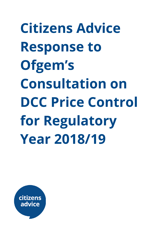**Citizens Advice Response to Ofgem's Consultation on DCC Price Control for Regulatory Year 2018/19**

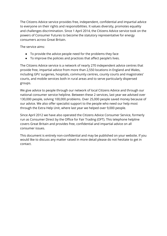The Citizens Advice service provides free, independent, confidential and impartial advice to everyone on their rights and responsibilities. It values diversity, promotes equality and challenges discrimination. Since 1 April 2014, the Citizens Advice service took on the powers of Consumer Futures to become the statutory representative for energy consumers across Great Britain.

The service aims:

- To provide the advice people need for the problems they face
- To improve the policies and practices that affect people's lives.

The Citizens Advice service is a network of nearly 270 independent advice centres that provide free, impartial advice from more than 2,550 locations in England and Wales, including GPs' surgeries, hospitals, community centres, county courts and magistrates' courts, and mobile services both in rural areas and to serve particularly dispersed groups.

We give advice to people through our network of local Citizens Advice and through our national consumer service helpline. Between these 2 services, last year we advised over 130,000 people, solving 100,000 problems. Over 25,000 people saved money because of our advice. We also offer specialist support to the people who need our help most through the Extra Help Unit, where last year we helped over 9,000 people.

Since April 2012 we have also operated the Citizens Advice Consumer Service, formerly run as Consumer Direct by the Office for Fair Trading (OFT). This telephone helpline covers Great Britain and provides free, confidential and impartial advice on all consumer issues.

This document is entirely non-confidential and may be published on your website. If you would like to discuss any matter raised in more detail please do not hesitate to get in contact.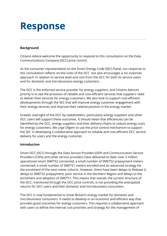# **Response**

#### **Background**

Citizens Advice welcome the opportunity to respond to this consultation on the Data Communications Company (DCC) price control.

As the consumer representative on the Smart Energy Code (SEC) Panel, our response to this consultation reflects on the costs of the DCC but also encourages a 'no surprises approach' in relation to service level and cost from the DCC for both its service users and for domestic and microbusiness energy customers.

The DCC is the enforced service provider for energy suppliers, and Citizens Advice's priority is to see the provision of reliable and cost-efficient services that suppliers need to deliver their services for energy customers. We also look to support cost-efficient developments through the SEC that will improve energy customer engagement with their energy services and improve their relative position in the energy market.

Greater oversight of the DCC by stakeholders, particularly energy suppliers and other DCC users will support these outcomes. It should mean that efficiencies can be identified by the DCC, energy suppliers and their delivery chains to reduce energy costs for energy customers. We urge Ofgem to use the price control mechanism to support the SEC in developing a collaborative approach to reliable and cost-efficient DCC service delivery for users and the energy customer.

#### **Introduction**

Smart DCC (DCC) through the Data Service Provider (DSP) and Communication Service Providers (CSPs) and other service providers have delivered to date: over 3 million operational smart SMETS2 connected; a small number of SMETS2 prepayment meters connected; a small number of SMETS1 meters enrolled and an advanced strategy for the enrolment of the next meter cohorts. However, there have been delays to Release 2; delays to SMETS2 prepayment; poor service in the Northern Region and delays to the enrolment and adoption of SMETS1. This means that overall, the current structure of the DCC, monitored through the DCC price controls, is not providing the anticipated returns for DCC users and their domestic and microbusiness consumers.

The DCC is now fundamental to Great Britain's energy market for domestic and microbusiness consumers. It needs to develop in an economic and efficient way that provides good outcomes for energy customers. This requires a collaborative approach with users to define the internal cost priorities and strategy for the management of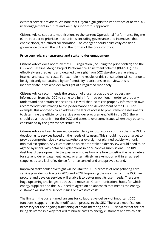external service providers. We note that Ofgem highlights the importance of better DCC user engagement in future and we fully support this approach.

Citizens Advice supports modifications to the current Operational Performance Regime (OPR) in order to prioritise mechanisms, including governance and incentives, that enable closer, structured collaboration. The changes should holistically consider governance through the SEC and the format of the price controls.

#### **Price controls, transparency and stakeholder engagement**

Citizens Advice does not think that DCC regulation (including the price control) and the OPR and Baseline Margin Project Performance Adjustment Scheme (BMPPAS), has effectively ensured early and detailed oversight from DCC stakeholders relating to internal and external costs. For example, the results of this consultation will continue to be significantly constrained by confidentiality restrictions. In our view, this is inappropriate in stakeholder oversight of a regulated monopoly.

Citizens Advice recommends the creation of a user group able to request any information from the DCC to come to a fully informed opinion. In order to properly understand and scrutinise decisions, it is vital that users can properly inform their own recommendations relating to the performance and development of the DCC. For example, this approach could address the lack of access to procurement assessments to determine the efficiency of service provider procurement. Within the SEC, there should be a mechanism for the DCC and users to overcome issues where they become constrained by the governance structures.

Citizens Advice is keen to see with greater clarity in future price controls that the DCC is developing its services based on the needs of its users. This should include a target to provide comprehensive ex-ante stakeholder oversight of planned activity with only minimal exceptions. Any exceptions to an ex-ante stakeholder review would need to be agreed by users, with detailed explanations in price control submissions. The KPI dashboard development in the past year shows how a failure to define the parameters for stakeholder engagement review or alternatively an exemption within an agreed scope leads to a lack of evidence for price control and unapproved spend.

Improved stakeholder oversight will be vital for DCC's process of renegotiating core service provider contracts in 2023 and 2028. Improving the way in which the DCC can procure and develop services will enable it to better meet its user needs. There are huge upcoming challenges, such as the move to 4G communications hubs, for which energy suppliers and the DCC need to agree on an approach that means the energy customer will not face service issues or excessive costs.

The limits in the current mechanisms for collaborative delivery of important DCC functions is apparent in the modification process to the SEC. There are modifications necessary for the ongoing functioning of smart metering and DCC services that are not being delivered in a way that will minimise costs to energy customers and which risk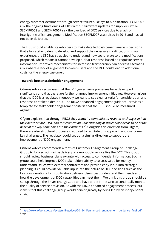energy customer detriment through service failures. Delays to Modification SECMP007 risk the ongoing functioning of IHDs without firmware updates for suppliers, while SECMP0062 and SECMP0067 risk the overload of DCC services due to a lack of intelligent traffic management. Modification SECPM007 was raised in 2016 and has still not been delivered.

The DCC should enable stakeholders to make detailed cost-benefit analysis decisions that allow stakeholders to develop and support the necessary modifications. In our experience, the SEC has struggled to understand how costs relate to the modifications proposed, which means it cannot develop a clear response based on requisite service information. Improved mechanisms for increased transparency can address escalating risks where a lack of alignment between users and the DCC could lead to additional costs for the energy customer.

## **Towards better stakeholder engagement**

Citizens Advice recognises that the DCC governance processes have developed significantly and that there are further planned improvement initiatives. However, given that the DCC is a regulated monopoly we want to see clear criteria for consideration and response to stakeholder input. The RIIO2 enhanced engagement guidance<sup>1</sup> provides a template for stakeholder engagement criteria that the DCC should be measured against.

Ofgem explains that through RIIO2 they want: *"... companies to respond to changes in how their networks are used, and this requires an understanding of stakeholder needs to be at the heart of the way companies run their business."* Alongside this direction from Ofgem, *2* there are also structural processes required to facilitate this approach and overcome key challenges. The regulator could set out a similar direction to support the improvement of DCC engagement.

Citizens Advice recommends a form of Customer Engagement Group or Challenge Group to fully scrutinise the delivery of a monopoly service like the DCC. This group should review business plans ex-ante with access to confidential information. Such a group could help improve DCC stakeholders ability to assess value for money, understand issues with external contractors and provide early input into strategic planning. It could provide valuable input into the nature of DCC decisions such as the key considerations for modification delivery. Users best understand their needs and how the development of DCC capabilities can meet them. We think this group should be set up through the Smart Energy Code and have a role in the OPR to continually monitor the quality of service provision. As with the RIIO2 enhanced engagement process, our view is that this challenge group would benefit greatly by being led by an independent chair.

<sup>1</sup> [https://www.ofgem.gov.uk/system/files/docs/2019/11/enhanced\\_engagement\\_guidance\\_final.pdf](https://www.ofgem.gov.uk/system/files/docs/2019/11/enhanced_engagement_guidance_final.pdf) 2 *ibid*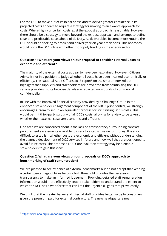For the DCC to move out of its initial phase and to deliver greater confidence in its projected costs appears to require a strategy for moving to an ex-ante approach for costs. Where highly uncertain costs exist the ex-post approach is reasonable. However, there should be a strategy to move beyond the ex-post approach and attempt to define clear and predictable costs ahead of delivery. As deliverables become more routine the DCC should be seeking to predict and deliver year on year efficiencies. This approach would bring the DCC inline with other monopoly funding in the energy sector.

# **Question 1: What are your views on our proposal to consider External Costs as economic and efficient?**

The majority of the external costs appear to have been explained. However, Citizens Advice is not in a position to judge whether all costs have been incurred economically or efficiently. The National Audit Office's 2018 report $3$  on the smart meter rollout, highlights that suppliers and stakeholders are prevented from scrutinising the DCC service providers' costs because details are redacted on grounds of commercial confidentiality.

In line with the improved financial scrutiny provided by a Challenge Group in the enhanced stakeholder engagement component of the RIIO2 price control, we strongly encourage Ofgem to set up an equivalent process for scrutinising DCC's costs. This would permit third-party scrutiny of all DCC's costs, allowing for a view to be taken on whether their external costs are economic and efficient.

One area we are concerned about is the lack of transparency surrounding contract procurement assessments available to users to establish value for money. It is also difficult to establish whether costs are economic and efficient without understanding the planned development of DCC services in future and how well they are positioned to avoid future costs. The proposed DCC Core Evolution strategy may help enable stakeholders to gain this view.

# **Question 2: What are your views on our proposals on DCC's approach to benchmarking of staff remuneration?**

We are pleased to see evidence of external benchmarks but do not accept that keeping a certain percentage of hires below a high threshold provides the necessary transparency to make an informed judgement. Providing detailed staff remuneration information would more effectively enable stakeholders to understand the extent to which the DCC has a workforce that can limit the urgent skill gaps that prove costly.

We think that the greater balance of internal staff provides better value to consumers given the premium paid for external contractors. The new headquarters near

<sup>3</sup> <https://www.nao.org.uk/report/rolling-out-smart-meters/>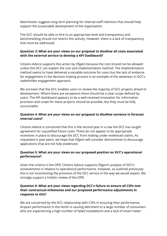Manchester suggests long term planning for internal staff retention that should help support the sustainable development of the organisation.

The DCC should be able to hire to an appropriate level and transparency and benchmarking should not restrict this activity. However, there is a lack of transparency that must be addressed.

## **Question 3: What are your views on our proposal to disallow all costs associated with the external service to develop a KPI Dashboard?**

Citizens Advice supports this action by Ofgem because the cost should not be allowed unless the DCC can explain the cost and implementation method. The implementation method seems to have delivered a valuable outcome for users but the lack of evidence for engagement in the decision-making process is an example of the weakness in DCC's stakeholder engagement approach.

We are keen that the DCC enables users to review the majority of DCC projects ahead of development. Where there are exceptions there should be a clear scope defined by users. The KPI dashboard appears to be a well-received innovation for information provision and scope for these projects should be possible, but they must be fully accountable.

# **Question 4: What are your views on our proposal to disallow variance in forecast internal costs?**

Citizens Advice is concerned that this is the second year in a row the DCC has sought agreement for unjustified future costs. There do not appear to be appropriate incentives in place to discourage the DCC from making under evidenced claims. As requested in past years, we hope that Ofgem will consider disincentives to discourage applications that are not fully evidenced.

## **Question 5: What are your views on our proposed position on DCC's operational performance?**

Given the criteria in the OPR, Citizens Advice supports Ofgem's analysis of DCC's achievements in relation to operational performance. However, as outlined previously this is not incentivising the provision of the DCC service in the way we would expect. We strongly support a holistic review of the OPR.

## **Question 6: What are your views regarding DCC's failure to ensure all CSPs met their contractual milestones and our proposed performance adjustments in response to this?**

We are concerned by the DCC relationship with CSPs in ensuring their performance. Arqiva's performance in the North is causing detriment to a large number of consumers who are experiencing a high number of failed installations and a lack of smart meter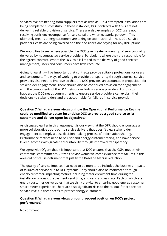services. We are hearing from suppliers that as little as 1 in 4 attempted installations are being completed successfully. In these instances, DCC contracts with CSPs are not delivering reliable provision of service. There are also examples of DCC users not receiving sufficient recompense for service failure when networks go down. This ultimately means energy customers are taking on too much risk. The DCC's service providers' costs are being covered and the end-users' are paying for any disruptions.

We would like to see, where possible, the DCC take greater ownership of service quality delivered by its contracted service providers. Particularly where they are responsible for the agreed contract. Where the DCC role is limited to the delivery of good contract management, users and consumers have little recourse.

Going forward it will be important that contracts provide suitable protections for users and consumers. The ways of working to provide transparency through external service providers also need to improve so that the DCC provides an accountable proposition for stakeholder engagement. There should also be continued provision for engagement with the components of the DCC network including service providers. For this to happen, the DCC needs commitments to ensure service providers can explain their decisions to stakeholders and are accountable for failures in service provision.

# **Question 7: What are your views on how the Operational Performance Regime could be modified to better incentivise DCC to provide a good service to its customers and deliver upon its objectives?**

As discussed earlier in this response, it is our view that the OPR should encourage a more collaborative approach to service delivery that doesn't view stakeholder engagement as simply a post-decision making process of information sharing. Performance metrics need to be user and energy customer facing, and have service level outcomes with greater accountability through improved transparency.

We agree with Ofgem that it is important that DCC ensures that the CSPs meet their contractual commitments. Citizens Advice would welcome evidence that failures in this area did not cause detriment that justify the Baseline Margin reduction.

The quality of service impacts that need to be monitored includes the business impacts of failures of service due to DCC systems. They should also be monitored through energy customer-impacting metrics including meter enrolment time during the installation process; prepayment vend time, and vend success rate. Each of which are energy customer deliverables that we think are vital to ensuring good energy customer smart meter experience. There are also significant risks to the rollout if there are not service levels in these areas to protect energy customers.

## **Question 8: What are your views on our proposed position on DCC's project performance?**

No comment